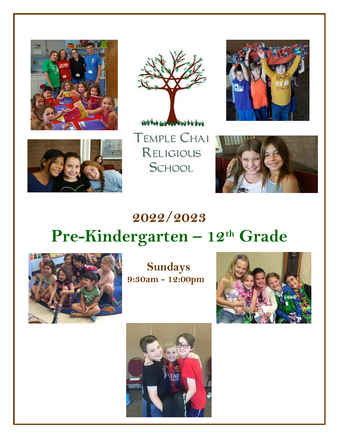







**TEMPLE CHAI** RELIGIOUS SCHOOL



# **2022/2023 Pre-Kindergarten – 12th Grade**



**Sundays 9:30am - 12:00pm**



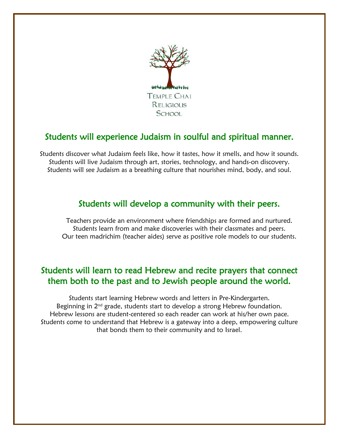

### Students will experience Judaism in soulful and spiritual manner.

Students discover what Judaism feels like, how it tastes, how it smells, and how it sounds. Students will live Judaism through art, stories, technology, and hands-on discovery. Students will see Judaism as a breathing culture that nourishes mind, body, and soul.

#### Students will develop a community with their peers.

Teachers provide an environment where friendships are formed and nurtured. Students learn from and make discoveries with their classmates and peers. Our teen madrichim (teacher aides) serve as positive role models to our students.

### Students will learn to read Hebrew and recite prayers that connect them both to the past and to Jewish people around the world.

Students start learning Hebrew words and letters in Pre-Kindergarten. Beginning in  $2<sup>nd</sup>$  grade, students start to develop a strong Hebrew foundation. Hebrew lessons are student-centered so each reader can work at his/her own pace. Students come to understand that Hebrew is a gateway into a deep, empowering culture that bonds them to their community and to Israel.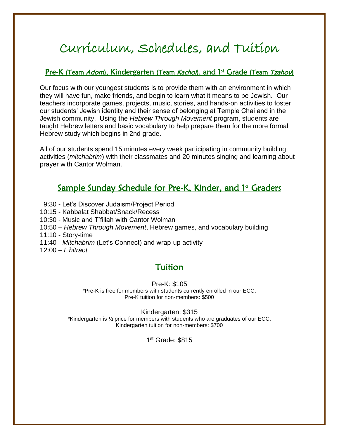# Curriculum, Schedules, and Tuition

#### Pre-K (Team Adom), Kindergarten (Team Kachol), and 1st Grade (Team *Tzahov*)

Our focus with our youngest students is to provide them with an environment in which they will have fun, make friends, and begin to learn what it means to be Jewish. Our teachers incorporate games, projects, music, stories, and hands-on activities to foster our students' Jewish identity and their sense of belonging at Temple Chai and in the Jewish community. Using the *Hebrew Through Movement* program, students are taught Hebrew letters and basic vocabulary to help prepare them for the more formal Hebrew study which begins in 2nd grade.

All of our students spend 15 minutes every week participating in community building activities (*mitchabrim*) with their classmates and 20 minutes singing and learning about prayer with Cantor Wolman.

### Sample Sunday Schedule for Pre-K, Kinder, and 1st Graders

- 9:30 Let's Discover Judaism/Project Period
- 10:15 Kabbalat Shabbat/Snack/Recess
- 10:30 Music and T'fillah with Cantor Wolman
- 10:50 *Hebrew Through Movement*, Hebrew games, and vocabulary building
- 11:10 Story-time
- 11:40 *Mitchabrim* (Let's Connect) and wrap-up activity
- 12:00 *L'hitraot*

### Tuition

#### Pre-K: \$105

\*Pre-K is free for members with students currently enrolled in our ECC. Pre-K tuition for non-members: \$500

#### Kindergarten: \$315

\*Kindergarten is ½ price for members with students who are graduates of our ECC. Kindergarten tuition for non-members: \$700

1 st Grade: \$815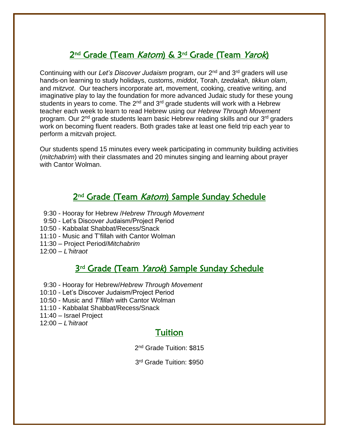### 2<sup>nd</sup> Grade (Team *Katom*) & 3<sup>rd</sup> Grade (Team *Yarok*)

Continuing with our *Let's Discover Judaism* program, our 2nd and 3rd graders will use hands-on learning to study holidays, customs, *middot*, Torah, *tzedakah, tikkun olam*, and *mitzvot*. Our teachers incorporate art, movement, cooking, creative writing, and imaginative play to lay the foundation for more advanced Judaic study for these young students in years to come. The 2<sup>nd</sup> and 3<sup>rd</sup> grade students will work with a Hebrew teacher each week to learn to read Hebrew using our *Hebrew Through Movement* program. Our 2nd grade students learn basic Hebrew reading skills and our 3rd graders work on becoming fluent readers. Both grades take at least one field trip each year to perform a mitzvah project.

Our students spend 15 minutes every week participating in community building activities (*mitchabrim*) with their classmates and 20 minutes singing and learning about prayer with Cantor Wolman.

### 2<sup>nd</sup> Grade (Team *Katom*) Sample Sunday Schedule

- 9:30 Hooray for Hebrew /*Hebrew Through Movement*
- 9:50 Let's Discover Judaism/Project Period
- 10:50 Kabbalat Shabbat/Recess/Snack
- 11:10 Music and T'fillah with Cantor Wolman
- 11:30 Project Period/*Mitchabrim*
- 12:00 *L'hitraot*

### 3<sup>rd</sup> Grade (Team Yarok) Sample Sunday Schedule

- 9:30 Hooray for Hebrew/*Hebrew Through Movement*
- 10:10 Let's Discover Judaism/Project Period
- 10:50 Music and *T'fillah* with Cantor Wolman
- 11:10 Kabbalat Shabbat/Recess/Snack
- 11:40 Israel Project
- 12:00 *L'hitraot*

#### Tuition

2<sup>nd</sup> Grade Tuition: \$815

3 rd Grade Tuition: \$950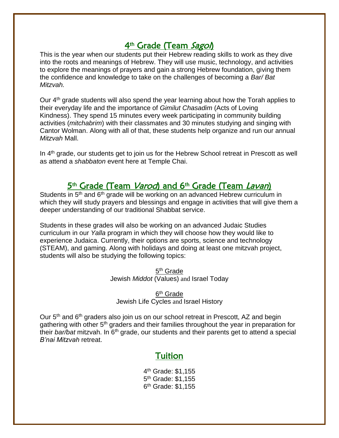### 4<sup>th</sup> Grade (Team *Sagol*)

This is the year when our students put their Hebrew reading skills to work as they dive into the roots and meanings of Hebrew. They will use music, technology, and activities to explore the meanings of prayers and gain a strong Hebrew foundation, giving them the confidence and knowledge to take on the challenges of becoming a *Bar/ Bat Mitzvah.*

Our 4<sup>th</sup> grade students will also spend the year learning about how the Torah applies to their everyday life and the importance of *Gimilut Chasadim* (Acts of Loving Kindness). They spend 15 minutes every week participating in community building activities (*mitchabrim*) with their classmates and 30 minutes studying and singing with Cantor Wolman. Along with all of that, these students help organize and run our annual *Mitzvah* Mall.

In 4th grade, our students get to join us for the Hebrew School retreat in Prescott as well as attend a *shabbaton* event here at Temple Chai.

### 5<sup>th</sup> Grade (Team *Varod*) and 6<sup>th</sup> Grade (Team Lavan)

Students in 5<sup>th</sup> and 6<sup>th</sup> grade will be working on an advanced Hebrew curriculum in which they will study prayers and blessings and engage in activities that will give them a deeper understanding of our traditional Shabbat service.

Students in these grades will also be working on an advanced Judaic Studies curriculum in our *Yalla* program in which they will choose how they would like to experience Judaica. Currently, their options are sports, science and technology (STEAM), and gaming. Along with holidays and doing at least one mitzvah project, students will also be studying the following topics:

> 5<sup>th</sup> Grade Jewish *Middot* (Values) and Israel Today

6<sup>th</sup> Grade Jewish Life Cycles and Israel History

Our 5<sup>th</sup> and 6<sup>th</sup> graders also join us on our school retreat in Prescott, AZ and begin gathering with other 5<sup>th</sup> graders and their families throughout the year in preparation for their *bar/bat* mitzvah. In 6<sup>th</sup> grade, our students and their parents get to attend a special *B'nai Mitzvah* retreat.

#### Tuition

4<sup>th</sup> Grade: \$1,155 5<sup>th</sup> Grade: \$1,155 6<sup>th</sup> Grade: \$1,155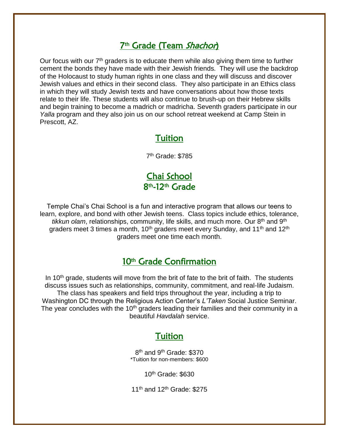### 7<sup>th</sup> Grade (Team *Shachor*)

Our focus with our  $7<sup>th</sup>$  graders is to educate them while also giving them time to further cement the bonds they have made with their Jewish friends. They will use the backdrop of the Holocaust to study human rights in one class and they will discuss and discover Jewish values and ethics in their second class. They also participate in an Ethics class in which they will study Jewish texts and have conversations about how those texts relate to their life. These students will also continue to brush-up on their Hebrew skills and begin training to become a madrich or madricha. Seventh graders participate in our *Yalla* program and they also join us on our school retreat weekend at Camp Stein in Prescott, AZ.

#### Tuition

7 th Grade: \$785

Chai School 8<sup>th</sup>-12<sup>th</sup> Grade

Temple Chai's Chai School is a fun and interactive program that allows our teens to learn, explore, and bond with other Jewish teens. Class topics include ethics, tolerance, *tikkun olam*, relationships, community, life skills, and much more. Our 8th and 9th graders meet 3 times a month, 10<sup>th</sup> graders meet every Sunday, and 11<sup>th</sup> and 12<sup>th</sup> graders meet one time each month.

#### 10<sup>th</sup> Grade Confirmation

In  $10<sup>th</sup>$  grade, students will move from the brit of fate to the brit of faith. The students discuss issues such as relationships, community, commitment, and real-life Judaism. The class has speakers and field trips throughout the year, including a trip to Washington DC through the Religious Action Center's *L'Taken* Social Justice Seminar. The year concludes with the 10<sup>th</sup> graders leading their families and their community in a beautiful *Havdalah* service.

#### Tuition

8<sup>th</sup> and 9<sup>th</sup> Grade: \$370 \*Tuition for non-members: \$600

10th Grade: \$630

11<sup>th</sup> and 12<sup>th</sup> Grade: \$275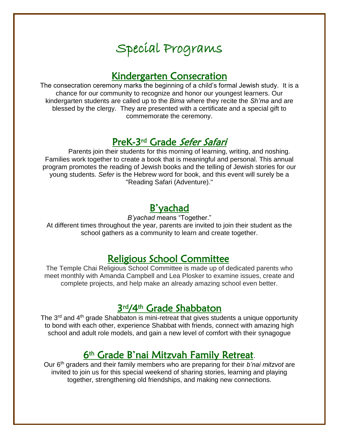# Special Programs

### Kindergarten Consecration

The consecration ceremony marks the beginning of a child's formal Jewish study. It is a chance for our community to recognize and honor our youngest learners. Our kindergarten students are called up to the *Bima* where they recite the *Sh'ma* and are blessed by the clergy. They are presented with a certificate and a special gift to commemorate the ceremony.

### PreK-3<sup>rd</sup> Grade Sefer Safari

Parents join their students for this morning of learning, writing, and noshing. Families work together to create a book that is meaningful and personal. This annual program promotes the reading of Jewish books and the telling of Jewish stories for our young students. *Sefer* is the Hebrew word for book, and this event will surely be a "Reading Safari (Adventure)."

### B'yachad

*B'yachad* means "Together."

At different times throughout the year, parents are invited to join their student as the school gathers as a community to learn and create together.

### Religious School Committee

The Temple Chai Religious School Committee is made up of dedicated parents who meet monthly with Amanda Campbell and Lea Plosker to examine issues, create and complete projects, and help make an already amazing school even better.

### 3rd/4th Grade Shabbaton

The 3<sup>rd</sup> and 4<sup>th</sup> grade Shabbaton is mini-retreat that gives students a unique opportunity to bond with each other, experience Shabbat with friends, connect with amazing high school and adult role models, and gain a new level of comfort with their synagogue

### 6<sup>th</sup> Grade B'nai Mitzvah Family Retreat.

Our 6th graders and their family members who are preparing for their *b'nai mitzvot* are invited to join us for this special weekend of sharing stories, learning and playing together, strengthening old friendships, and making new connections.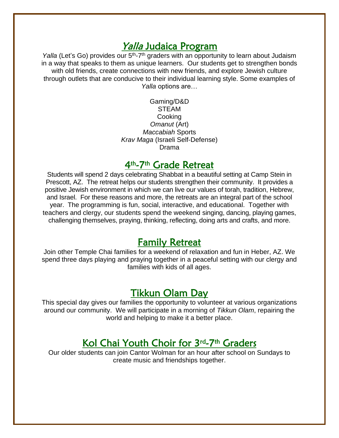### Yalla Judaica Program

*Yalla* (Let's Go) provides our 5<sup>th</sup>-7<sup>th</sup> graders with an opportunity to learn about Judaism in a way that speaks to them as unique learners. Our students get to strengthen bonds with old friends, create connections with new friends, and explore Jewish culture through outlets that are conducive to their individual learning style. Some examples of *Yalla* options are…

> Gaming/D&D STEAM Cooking *Omanut* (Art) *Maccabiah* Sports *Krav Maga* (Israeli Self-Defense) Drama

### 4<sup>th</sup>-7<sup>th</sup> Grade Retreat

Students will spend 2 days celebrating Shabbat in a beautiful setting at Camp Stein in Prescott, AZ. The retreat helps our students strengthen their community. It provides a positive Jewish environment in which we can live our values of torah, tradition, Hebrew, and Israel. For these reasons and more, the retreats are an integral part of the school year. The programming is fun, social, interactive, and educational. Together with teachers and clergy, our students spend the weekend singing, dancing, playing games, challenging themselves, praying, thinking, reflecting, doing arts and crafts, and more.

### Family Retreat

Join other Temple Chai families for a weekend of relaxation and fun in Heber, AZ. We spend three days playing and praying together in a peaceful setting with our clergy and families with kids of all ages.

### Tikkun Olam Day

This special day gives our families the opportunity to volunteer at various organizations around our community. We will participate in a morning of *Tikkun Olam*, repairing the world and helping to make it a better place.

### Kol Chai Youth Choir for 3rd-7th Graders

Our older students can join Cantor Wolman for an hour after school on Sundays to create music and friendships together.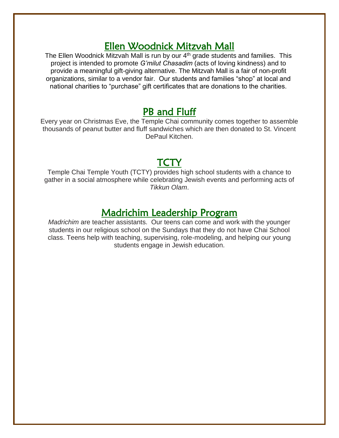### Ellen Woodnick Mitzvah Mall

The Ellen Woodnick Mitzvah Mall is run by our  $4<sup>th</sup>$  grade students and families. This project is intended to promote *G'milut Chasadim* (acts of loving kindness) and to provide a meaningful gift-giving alternative. The Mitzvah Mall is a fair of non-profit organizations, similar to a vendor fair. Our students and families "shop" at local and national charities to "purchase" gift certificates that are donations to the charities.

### PB and Fluff

Every year on Christmas Eve, the Temple Chai community comes together to assemble thousands of peanut butter and fluff sandwiches which are then donated to St. Vincent DePaul Kitchen.

### TCTY

Temple Chai Temple Youth (TCTY) provides high school students with a chance to gather in a social atmosphere while celebrating Jewish events and performing acts of *Tikkun Olam*.

### Madrichim Leadership Program

*Madrichim* are teacher assistants. Our teens can come and work with the younger students in our religious school on the Sundays that they do not have Chai School class. Teens help with teaching, supervising, role-modeling, and helping our young students engage in Jewish education.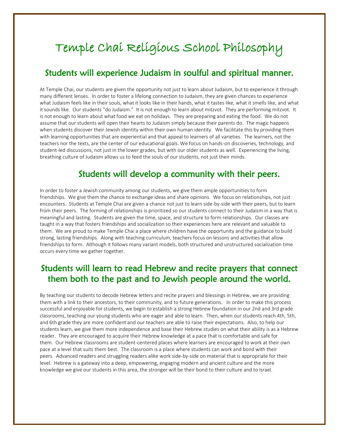## Temple Chai Religious School Philosophy

#### Students will experience Judaism in soulful and spiritual manner.

At Temple Chai, our students are given the opportunity not just to learn about Judaism, but to experience it through many different lenses. In order to foster a lifelong connection to Judaism, they are given chances to experience what Judaism feels like in their souls, what it looks like in their hands, what it tastes like, what it smells like, and what it sounds like. Our students "do Judaism." It is not enough to learn about mitzvot. They are performing mitzvot. It is not enough to learn about what food we eat on holidays. They are preparing and eating the food. We do not assume that our students will open their hearts to Judaism simply because their parents do. The magic happens when students discover their Jewish identity within their own human identity. We facilitate this by providing them with learning opportunities that are experiential and that appeal to learners of all varieties. The learners, not the teachers nor the texts, are the center of our educational goals. We focus on hands-on discoveries, technology, and student-led discussions, not just in the lower grades, but with our older students as well. Experiencing the living, breathing culture of Judaism allows us to feed the souls of our students, not just their minds.

#### Students will develop a community with their peers.

In order to foster a Jewish community among our students, we give them ample opportunities to form friendships. We give them the chance to exchange ideas and share opinions. We focus on relationships, not just encounters. Students at Temple Chai are given a chance not just to learn side-by-side with their peers, but to learn from their peers. The forming of relationships is prioritized so our students connect to their Judaism in a way that is meaningful and lasting. Students are given the time, space, and structure to form relationships. Our classes are taught in a way that fosters friendships and socialization so their experiences here are relevant and valuable to them. We are proud to make Temple Chai a place where children have the opportunity and the guidance to build strong, lasting friendships. Along with teaching curriculum, teachers focus on lessons and activities that allow friendships to form. Although it follows many variant models, both structured and unstructured socialization time occurs every time we gather together.

### Students will learn to read Hebrew and recite prayers that connect them both to the past and to Jewish people around the world.

By teaching our students to decode Hebrew letters and recite prayers and blessings in Hebrew, we are providing them with a link to their ancestors, to their community, and to future generations. In order to make this process successful and enjoyable for students, we begin to establish a strong Hebrew foundation in our 2nd and 3rd grade classrooms, teaching our young students who are eager and able to learn. Then, when our students reach 4th, 5th, and 6th grade they are more confident and our teachers are able to raise their expectations. Also, to help our students learn, we give them more independence and base their Hebrew studies on what their ability is as a Hebrew reader. They are encouraged to acquire their Hebrew knowledge at a pace that is comfortable and safe for them. Our Hebrew classrooms are student-centered places where learners are encouraged to work at their own pace at a level that suits them best. The classroom is a place where students can work and bond with their peers. Advanced readers and struggling readers alike work side-by-side on material that is appropriate for their level. Hebrew is a gateway into a deep, empowering, engaging modern and ancient culture and the more knowledge we give our students in this area, the stronger will be their bond to their culture and to Israel.